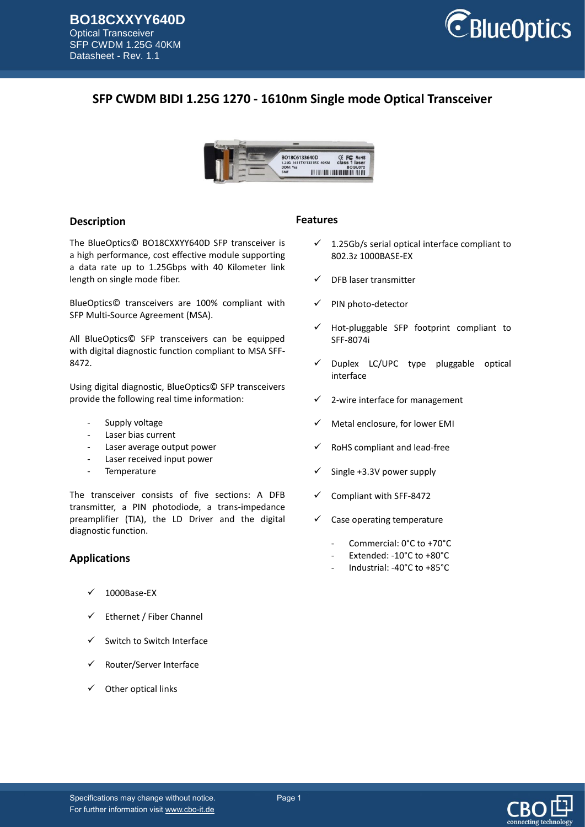

# **SFP CWDM BIDI 1.25G 1270 - 1610nm Single mode Optical Transceiver**



### **Description**

The BlueOptics© BO18CXXYY640D SFP transceiver is a high performance, cost effective module supporting a data rate up to 1.25Gbps with 40 Kilometer link length on single mode fiber.

BlueOptics© transceivers are 100% compliant with SFP Multi-Source Agreement (MSA).

All BlueOptics© SFP transceivers can be equipped with digital diagnostic function compliant to MSA SFF-8472.

Using digital diagnostic, BlueOptics© SFP transceivers provide the following real time information:

- Supply voltage
- Laser bias current
- Laser average output power
- Laser received input power
- Temperature

The transceiver consists of five sections: A DFB transmitter, a PIN photodiode, a trans-impedance preamplifier (TIA), the LD Driver and the digital diagnostic function.

### **Applications**

- 1000Base-EX
- $\checkmark$  Ethernet / Fiber Channel
- $\checkmark$  Switch to Switch Interface
- Router/Server Interface
- Other optical links

### **Features**

- $\checkmark$  1.25Gb/s serial optical interface compliant to 802.3z 1000BASE-EX
- DFB laser transmitter
- PIN photo-detector
- Hot-pluggable SFP footprint compliant to SFF-8074i
- Duplex LC/UPC type pluggable optical interface
- 2-wire interface for management
- Metal enclosure, for lower EMI
- RoHS compliant and lead-free
- Single +3.3V power supply
- Compliant with SFF-8472
- $\checkmark$  Case operating temperature
	- Commercial: 0°C to +70°C
	- Extended: -10°C to +80°C
	- Industrial: -40°C to +85°C

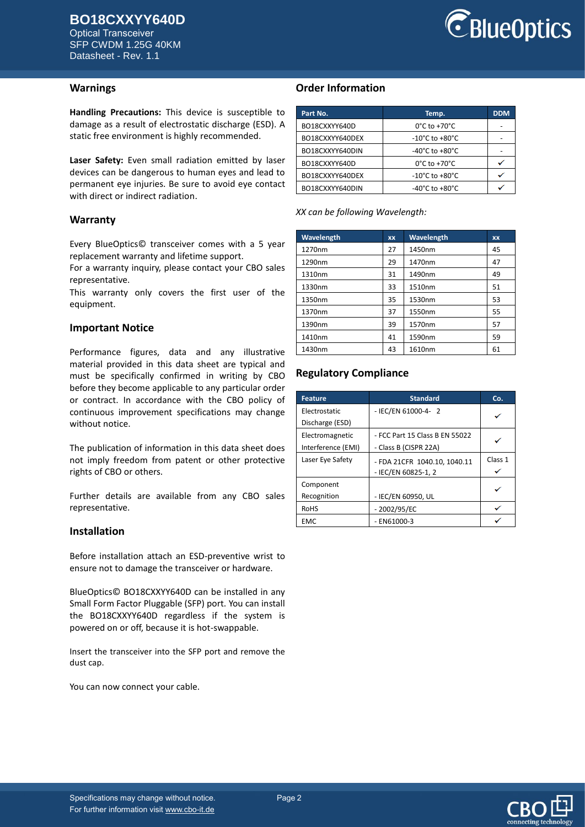Optical Transceiver SFP CWDM 1.25G 40KM Datasheet - Rev. 1.1



### **Warnings**

**Handling Precautions:** This device is susceptible to damage as a result of electrostatic discharge (ESD). A static free environment is highly recommended.

**Laser Safety:** Even small radiation emitted by laser devices can be dangerous to human eyes and lead to permanent eye injuries. Be sure to avoid eye contact with direct or indirect radiation.

### **Warranty**

Every BlueOptics© transceiver comes with a 5 year replacement warranty and lifetime support.

For a warranty inquiry, please contact your CBO sales representative.

This warranty only covers the first user of the equipment.

### **Important Notice**

Performance figures, data and any illustrative material provided in this data sheet are typical and must be specifically confirmed in writing by CBO before they become applicable to any particular order or contract. In accordance with the CBO policy of continuous improvement specifications may change without notice.

The publication of information in this data sheet does not imply freedom from patent or other protective rights of CBO or others.

Further details are available from any CBO sales representative.

### **Installation**

Before installation attach an ESD-preventive wrist to ensure not to damage the transceiver or hardware.

BlueOptics© BO18CXXYY640D can be installed in any Small Form Factor Pluggable (SFP) port. You can install the BO18CXXYY640D regardless if the system is powered on or off, because it is hot-swappable.

Insert the transceiver into the SFP port and remove the dust cap.

You can now connect your cable.

## **Order Information**

| Part No.        | Temp.                              | <b>DDM</b> |
|-----------------|------------------------------------|------------|
| BO18CXXYY640D   | $0^{\circ}$ C to +70 $^{\circ}$ C  |            |
| BO18CXXYY640DEX | -10°C to +80°C                     |            |
| BO18CXXYY640DIN | -40°C to +80°C                     |            |
| BO18CXXYY640D   | $0^{\circ}$ C to +70 $^{\circ}$ C  |            |
| BO18CXXYY640DEX | -10°C to +80°C                     |            |
| BO18CXXYY640DIN | $-40^{\circ}$ C to $+80^{\circ}$ C |            |

*XX can be following Wavelength:*

| Wavelength | <b>XX</b> | Wavelength | XX |
|------------|-----------|------------|----|
| 1270nm     | 27        | 1450nm     | 45 |
| 1290nm     | 29        | 1470nm     | 47 |
| 1310nm     | 31        | 1490nm     | 49 |
| 1330nm     | 33        | 1510nm     | 51 |
| 1350nm     | 35        | 1530nm     | 53 |
| 1370nm     | 37        | 1550nm     | 55 |
| 1390nm     | 39        | 1570nm     | 57 |
| 1410nm     | 41        | 1590nm     | 59 |
| 1430nm     | 43        | 1610nm     | 61 |

## **Regulatory Compliance**

| <b>Feature</b>     | <b>Standard</b>                | Co.     |
|--------------------|--------------------------------|---------|
| Electrostatic      | - IEC/EN 61000-4- 2            | ✓       |
| Discharge (ESD)    |                                |         |
| Electromagnetic    | - FCC Part 15 Class B EN 55022 |         |
| Interference (EMI) | - Class B (CISPR 22A)          |         |
| Laser Eye Safety   | - FDA 21CFR 1040.10, 1040.11   | Class 1 |
|                    | - IEC/EN 60825-1, 2            |         |
| Component          |                                |         |
| Recognition        | - IEC/EN 60950, UL             |         |
| <b>RoHS</b>        | $-2002/95/EC$                  |         |
| <b>EMC</b>         | $-$ EN61000-3                  |         |

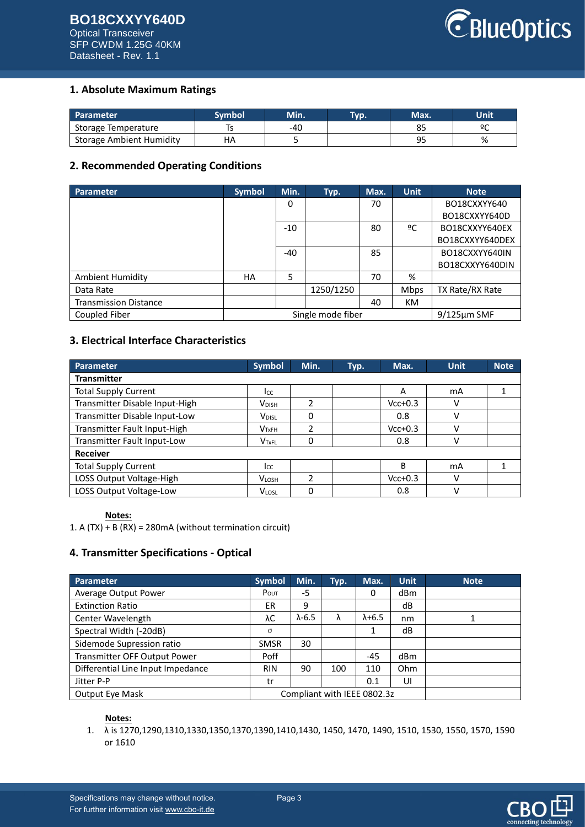### **BO18CXXYY640D** Optical Transceiver SFP CWDM 1.25G 40KM Datasheet - Rev. 1.1



## **1. Absolute Maximum Ratings**

| Parameter                | Svmbol | Min. | Tvp. | Max.           | Unit |
|--------------------------|--------|------|------|----------------|------|
| Storage Temperature      |        | -40  |      | ບ_             | ٥C   |
| Storage Ambient Humidity | НA     |      |      | ۵r<br><u>.</u> | %    |

## **2. Recommended Operating Conditions**

| <b>Parameter</b>             | <b>Symbol</b> | Min.  | Typ.              | Max. | <b>Unit</b> | <b>Note</b>       |
|------------------------------|---------------|-------|-------------------|------|-------------|-------------------|
|                              |               | 0     |                   | 70   |             | BO18CXXYY640      |
|                              |               |       |                   |      |             | BO18CXXYY640D     |
|                              |               | $-10$ |                   | 80   | ºC          | BO18CXXYY640EX    |
|                              |               |       |                   |      |             | BO18CXXYY640DEX   |
|                              |               | $-40$ |                   | 85   |             | BO18CXXYY640IN    |
|                              |               |       |                   |      |             | BO18CXXYY640DIN   |
| <b>Ambient Humidity</b>      | HA            | 5     |                   | 70   | %           |                   |
| Data Rate                    |               |       | 1250/1250         |      | Mbps        | TX Rate/RX Rate   |
| <b>Transmission Distance</b> |               |       |                   | 40   | KM          |                   |
| Coupled Fiber                |               |       | Single mode fiber |      |             | $9/125 \mu m$ SMF |

## **3. Electrical Interface Characteristics**

| <b>Parameter</b>               | <b>Symbol</b>            | Min.          | Typ. | Max.      | <b>Unit</b> | <b>Note</b> |
|--------------------------------|--------------------------|---------------|------|-----------|-------------|-------------|
| <b>Transmitter</b>             |                          |               |      |           |             |             |
| <b>Total Supply Current</b>    | Icc                      |               |      | A         | mA          |             |
| Transmitter Disable Input-High | <b>V</b> <sub>DISH</sub> | $\mathfrak z$ |      | $Vcc+0.3$ | ν           |             |
| Transmitter Disable Input-Low  | V <sub>DISL</sub>        | 0             |      | 0.8       | ٧           |             |
| Transmitter Fault Input-High   | V <sub>TxFH</sub>        | 2             |      | $Vcc+0.3$ | ν           |             |
| Transmitter Fault Input-Low    | V <sub>TxFL</sub>        | 0             |      | 0.8       | v           |             |
| <b>Receiver</b>                |                          |               |      |           |             |             |
| <b>Total Supply Current</b>    | Icc                      |               |      | B         | mA          |             |
| LOSS Output Voltage-High       | <b>VLOSH</b>             | $\mathfrak z$ |      | $Vcc+0.3$ | v           |             |
| LOSS Output Voltage-Low        | <b>VLOSL</b>             | 0             |      | 0.8       | ν           |             |

### **Notes:**

1. A (TX) + B (RX) = 280mA (without termination circuit)

## **4. Transmitter Specifications - Optical**

| Parameter                         | <b>Symbol</b> | Min.                        | Typ. | Max.            | <b>Unit</b> | <b>Note</b> |
|-----------------------------------|---------------|-----------------------------|------|-----------------|-------------|-------------|
| Average Output Power              | POUT          | -5                          |      | 0               | dBm         |             |
| <b>Extinction Ratio</b>           | <b>ER</b>     | 9                           |      |                 | dB          |             |
| Center Wavelength                 | λC            | $\lambda$ -6.5              | λ    | $\lambda + 6.5$ | nm          |             |
| Spectral Width (-20dB)            | σ             |                             |      |                 | dB          |             |
| Sidemode Supression ratio         | <b>SMSR</b>   | 30                          |      |                 |             |             |
| Transmitter OFF Output Power      | Poff          |                             |      | $-45$           | dBm         |             |
| Differential Line Input Impedance | <b>RIN</b>    | 90                          | 100  | 110             | Ohm         |             |
| Jitter P-P                        | tr            |                             |      | 0.1             | UI          |             |
| <b>Output Eye Mask</b>            |               | Compliant with IEEE 0802.3z |      |                 |             |             |

### **Notes:**

1. λ is 1270,1290,1310,1330,1350,1370,1390,1410,1430, 1450, 1470, 1490, 1510, 1530, 1550, 1570, 1590 or 1610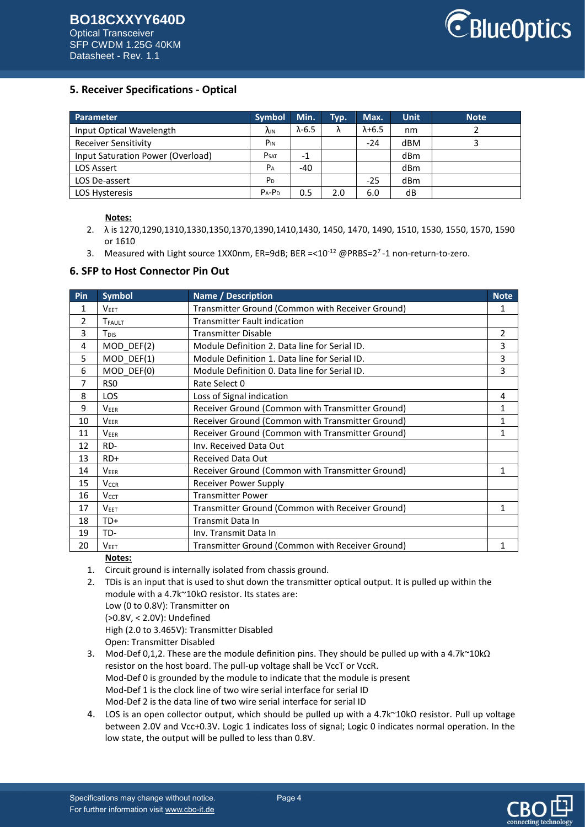

## **5. Receiver Specifications - Optical**

| Parameter                         | <b>Symbol</b>   | Min.           | Typ. | Max.            | <b>Unit</b> | <b>Note</b> |
|-----------------------------------|-----------------|----------------|------|-----------------|-------------|-------------|
| Input Optical Wavelength          | <b>AIN</b>      | $\lambda$ -6.5 | Λ    | $\lambda + 6.5$ | nm          |             |
| <b>Receiver Sensitivity</b>       | P <sub>IN</sub> |                |      | $-24$           | dBM         |             |
| Input Saturation Power (Overload) | <b>PSAT</b>     | -1             |      |                 | dBm         |             |
| <b>LOS Assert</b>                 | $P_A$           | -40            |      |                 | dBm         |             |
| LOS De-assert                     | P <sub>D</sub>  |                |      | $-25$           | dBm         |             |
| <b>LOS Hysteresis</b>             | $P_A-P_D$       | 0.5            | 2.0  | 6.0             | dB          |             |

### **Notes:**

- 2. λ is 1270,1290,1310,1330,1350,1370,1390,1410,1430, 1450, 1470, 1490, 1510, 1530, 1550, 1570, 1590 or 1610
- 3. Measured with Light source 1XX0nm, ER=9dB; BER =< $10^{-12}$  @PRBS= $2^7$ -1 non-return-to-zero.

### **6. SFP to Host Connector Pin Out**

| Pin | <b>Symbol</b>          | <b>Name / Description</b>                        | <b>Note</b> |
|-----|------------------------|--------------------------------------------------|-------------|
| 1   | <b>VEET</b>            | Transmitter Ground (Common with Receiver Ground) | 1           |
| 2   | TFAULT                 | <b>Transmitter Fault indication</b>              |             |
| 3   | T <sub>DIS</sub>       | <b>Transmitter Disable</b>                       | 2           |
| 4   | MOD DEF(2)             | Module Definition 2. Data line for Serial ID.    | 3           |
| 5   | $MOD$ DEF(1)           | Module Definition 1. Data line for Serial ID.    | 3           |
| 6   | MOD DEF(0)             | Module Definition 0. Data line for Serial ID.    | 3           |
| 7   | RS <sub>0</sub>        | Rate Select 0                                    |             |
| 8   | <b>LOS</b>             | Loss of Signal indication                        | 4           |
| 9   | <b>VEER</b>            | Receiver Ground (Common with Transmitter Ground) | 1           |
| 10  | <b>VEER</b>            | Receiver Ground (Common with Transmitter Ground) | 1           |
| 11  | <b>VEER</b>            | Receiver Ground (Common with Transmitter Ground) | 1           |
| 12  | RD-                    | Inv. Received Data Out                           |             |
| 13  | $RD+$                  | <b>Received Data Out</b>                         |             |
| 14  | <b>VEER</b>            | Receiver Ground (Common with Transmitter Ground) | 1           |
| 15  | <b>V<sub>CCR</sub></b> | <b>Receiver Power Supply</b>                     |             |
| 16  | $V_{CCT}$              | <b>Transmitter Power</b>                         |             |
| 17  | <b>VEET</b>            | Transmitter Ground (Common with Receiver Ground) | 1           |
| 18  | TD+                    | Transmit Data In                                 |             |
| 19  | TD-                    | Inv. Transmit Data In                            |             |
| 20  | <b>VEET</b>            | Transmitter Ground (Common with Receiver Ground) | 1           |

### **Notes:**

- 1. Circuit ground is internally isolated from chassis ground.
- 2. TDis is an input that is used to shut down the transmitter optical output. It is pulled up within the module with a 4.7k~10kΩ resistor. Its states are: Low (0 to 0.8V): Transmitter on (>0.8V, < 2.0V): Undefined High (2.0 to 3.465V): Transmitter Disabled Open: Transmitter Disabled
- 3. Mod-Def 0,1,2. These are the module definition pins. They should be pulled up with a 4.7k~10kΩ resistor on the host board. The pull-up voltage shall be VccT or VccR. Mod-Def 0 is grounded by the module to indicate that the module is present Mod-Def 1 is the clock line of two wire serial interface for serial ID Mod-Def 2 is the data line of two wire serial interface for serial ID
- 4. LOS is an open collector output, which should be pulled up with a 4.7k~10kΩ resistor. Pull up voltage between 2.0V and Vcc+0.3V. Logic 1 indicates loss of signal; Logic 0 indicates normal operation. In the low state, the output will be pulled to less than 0.8V.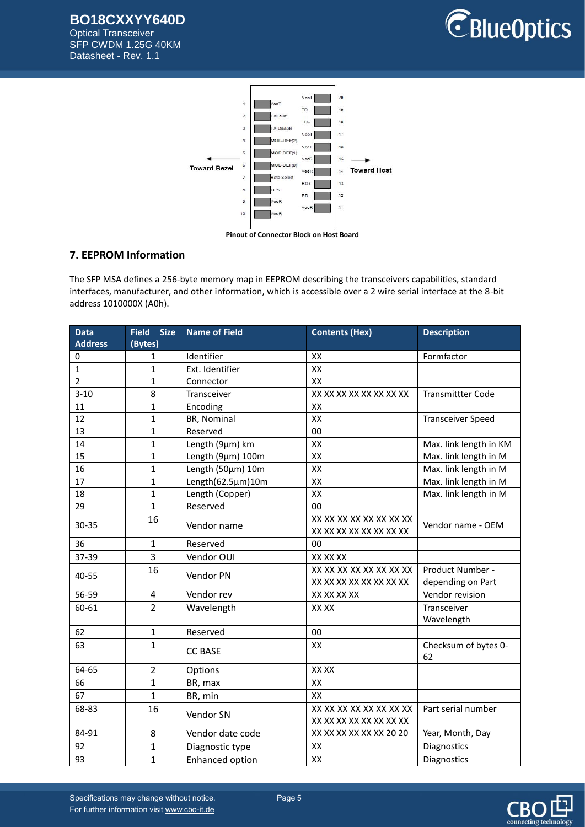**BO18CXXYY640D**

Optical Transceiver SFP CWDM 1.25G 40KM Datasheet - Rev. 1.1





## **7. EEPROM Information**

The SFP MSA defines a 256-byte memory map in EEPROM describing the transceivers capabilities, standard interfaces, manufacturer, and other information, which is accessible over a 2 wire serial interface at the 8-bit address 1010000X (A0h).

| <b>Data</b>    | <b>Size</b><br><b>Field</b> | <b>Name of Field</b>   | <b>Contents (Hex)</b>   | <b>Description</b>       |
|----------------|-----------------------------|------------------------|-------------------------|--------------------------|
| <b>Address</b> | (Bytes)                     |                        |                         |                          |
| 0              | 1                           | Identifier             | XX                      | Formfactor               |
| $\mathbf{1}$   | $\mathbf{1}$                | Ext. Identifier        | XX                      |                          |
| $\overline{2}$ | $\mathbf{1}$                | Connector              | XX                      |                          |
| $3 - 10$       | 8                           | Transceiver            | XX XX XX XX XX XX XX XX | <b>Transmittter Code</b> |
| 11             | $\mathbf{1}$                | Encoding               | XX                      |                          |
| 12             | $\mathbf{1}$                | BR, Nominal            | XX                      | <b>Transceiver Speed</b> |
| 13             | $\mathbf{1}$                | Reserved               | 00                      |                          |
| 14             | $\mathbf{1}$                | Length (9µm) km        | XX                      | Max. link length in KM   |
| 15             | $\mathbf{1}$                | Length (9µm) 100m      | XX                      | Max. link length in M    |
| 16             | $\mathbf{1}$                | Length (50µm) 10m      | XX                      | Max. link length in M    |
| 17             | $\mathbf{1}$                | Length(62.5µm)10m      | XX                      | Max. link length in M    |
| 18             | $\mathbf{1}$                | Length (Copper)        | XX                      | Max. link length in M    |
| 29             | $\mathbf{1}$                | Reserved               | 00                      |                          |
|                | 16                          |                        | XX XX XX XX XX XX XX XX |                          |
| 30-35          |                             | Vendor name            | XX XX XX XX XX XX XX XX | Vendor name - OEM        |
| 36             | 1                           | Reserved               | 00                      |                          |
| 37-39          | 3                           | Vendor OUI             | XX XX XX                |                          |
| 40-55          | 16                          | Vendor PN              | XX XX XX XX XX XX XX XX | Product Number -         |
|                |                             |                        | XX XX XX XX XX XX XX XX | depending on Part        |
| 56-59          | 4                           | Vendor rev             | XX XX XX XX             | Vendor revision          |
| 60-61          | $\overline{2}$              | Wavelength             | XX XX                   | Transceiver              |
|                |                             |                        |                         | Wavelength               |
| 62             | $\mathbf{1}$                | Reserved               | 00                      |                          |
| 63             | $\mathbf{1}$                |                        | XX                      | Checksum of bytes 0-     |
|                |                             | <b>CC BASE</b>         |                         | 62                       |
| 64-65          | $\overline{2}$              | Options                | XX XX                   |                          |
| 66             | $\mathbf{1}$                | BR, max                | XX                      |                          |
| 67             | $\overline{1}$              | BR, min                | XX                      |                          |
| 68-83          | 16                          |                        | XX XX XX XX XX XX XX XX | Part serial number       |
|                |                             | Vendor SN              | XX XX XX XX XX XX XX XX |                          |
| 84-91          | 8                           | Vendor date code       | XX XX XX XX XX XX 20 20 | Year, Month, Day         |
| 92             | 1                           | Diagnostic type        | XX                      | Diagnostics              |
| 93             | $\overline{1}$              | <b>Enhanced option</b> | XX                      | Diagnostics              |



Specifications may change without notice. Page 5 For further information visi[t www.cbo-it.de](www.cbo-it.de)